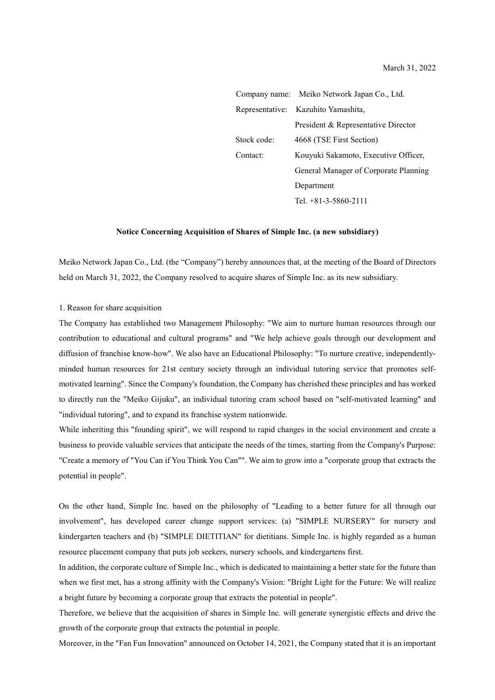Company name: Meiko Network Japan Co., Ltd. Representative: Kazuhito Yamashita, President & Representative Director Stock code: 4668 (TSE First Section) Contact: Kouyuki Sakamoto, Executive Officer, General Manager of Corporate Planning Department Tel. +81-3-5860-2111

## **Notice Concerning Acquisition of Shares of Simple Inc. (a new subsidiary)**

Meiko Network Japan Co., Ltd. (the "Company") hereby announces that, at the meeting of the Board of Directors held on March 31, 2022, the Company resolved to acquire shares of Simple Inc. as its new subsidiary.

1. Reason for share acquisition

The Company has established two Management Philosophy: "We aim to nurture human resources through our contribution to educational and cultural programs" and "We help achieve goals through our development and diffusion of franchise know-how". We also have an Educational Philosophy: "To nurture creative, independentlyminded human resources for 21st century society through an individual tutoring service that promotes selfmotivated learning". Since the Company's foundation, the Company has cherished these principles and has worked to directly run the "Meiko Gijuku", an individual tutoring cram school based on "self-motivated learning" and "individual tutoring", and to expand its franchise system nationwide.

While inheriting this "founding spirit", we will respond to rapid changes in the social environment and create a business to provide valuable services that anticipate the needs of the times, starting from the Company's Purpose: "Create a memory of "You Can if You Think You Can"". We aim to grow into a "corporate group that extracts the potential in people".

On the other hand, Simple Inc. based on the philosophy of "Leading to a better future for all through our involvement", has developed career change support services: (a) "SIMPLE NURSERY" for nursery and kindergarten teachers and (b) "SIMPLE DIETITIAN" for dietitians. Simple Inc. is highly regarded as a human resource placement company that puts job seekers, nursery schools, and kindergartens first.

In addition, the corporate culture of Simple Inc., which is dedicated to maintaining a better state for the future than when we first met, has a strong affinity with the Company's Vision: "Bright Light for the Future: We will realize a bright future by becoming a corporate group that extracts the potential in people".

Therefore, we believe that the acquisition of shares in Simple Inc. will generate synergistic effects and drive the growth of the corporate group that extracts the potential in people.

Moreover, in the "Fan Fun Innovation" announced on October 14, 2021, the Company stated that it is an important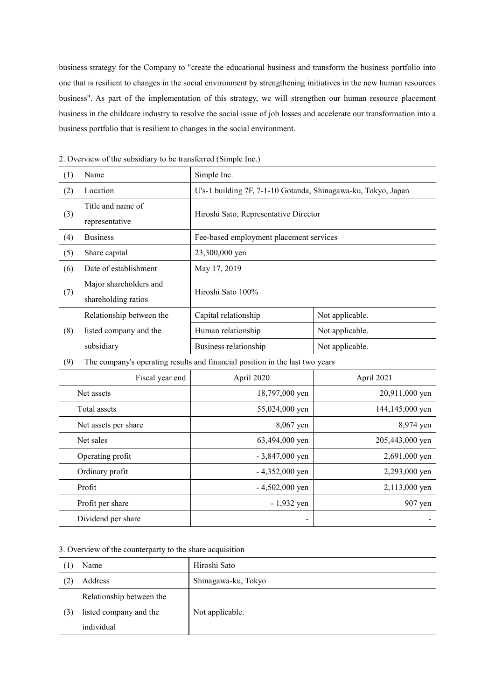business strategy for the Company to "create the educational business and transform the business portfolio into one that is resilient to changes in the social environment by strengthening initiatives in the new human resources business". As part of the implementation of this strategy, we will strengthen our human resource placement business in the childcare industry to resolve the social issue of job losses and accelerate our transformation into a business portfolio that is resilient to changes in the social environment.

| (1) | Name                                                                         | Simple Inc.                                                   |                 |  |
|-----|------------------------------------------------------------------------------|---------------------------------------------------------------|-----------------|--|
| (2) | Location                                                                     | U's-1 building 7F, 7-1-10 Gotanda, Shinagawa-ku, Tokyo, Japan |                 |  |
| (3) | Title and name of<br>representative                                          | Hiroshi Sato, Representative Director                         |                 |  |
| (4) | <b>Business</b>                                                              | Fee-based employment placement services                       |                 |  |
| (5) | Share capital                                                                | 23,300,000 yen                                                |                 |  |
| (6) | Date of establishment                                                        | May 17, 2019                                                  |                 |  |
| (7) | Major shareholders and<br>shareholding ratios                                | Hiroshi Sato 100%                                             |                 |  |
|     | Relationship between the                                                     | Capital relationship                                          | Not applicable. |  |
| (8) | listed company and the                                                       | Human relationship                                            | Not applicable. |  |
|     | subsidiary                                                                   | Business relationship                                         | Not applicable. |  |
| (9) | The company's operating results and financial position in the last two years |                                                               |                 |  |
|     | Fiscal year end                                                              | April 2020                                                    | April 2021      |  |
|     | Net assets                                                                   | 18,797,000 yen                                                | 20,911,000 yen  |  |
|     | Total assets                                                                 | 55,024,000 yen                                                | 144,145,000 yen |  |
|     | Net assets per share                                                         | 8,067 yen                                                     | 8,974 yen       |  |
|     | Net sales                                                                    | 63,494,000 yen                                                | 205,443,000 yen |  |
|     | Operating profit                                                             | $-3,847,000$ yen                                              | 2,691,000 yen   |  |
|     | Ordinary profit                                                              | $-4,352,000$ yen                                              | 2,293,000 yen   |  |
|     | Profit                                                                       | $-4,502,000$ yen                                              | 2,113,000 yen   |  |
|     | Profit per share                                                             | $-1,932$ yen                                                  | 907 yen         |  |
|     | Dividend per share                                                           |                                                               |                 |  |

2. Overview of the subsidiary to be transferred (Simple Inc.)

## 3. Overview of the counterparty to the share acquisition

|  | Name                     | Hiroshi Sato        |
|--|--------------------------|---------------------|
|  | Address                  | Shinagawa-ku, Tokyo |
|  | Relationship between the |                     |
|  | listed company and the   | Not applicable.     |
|  | individual               |                     |